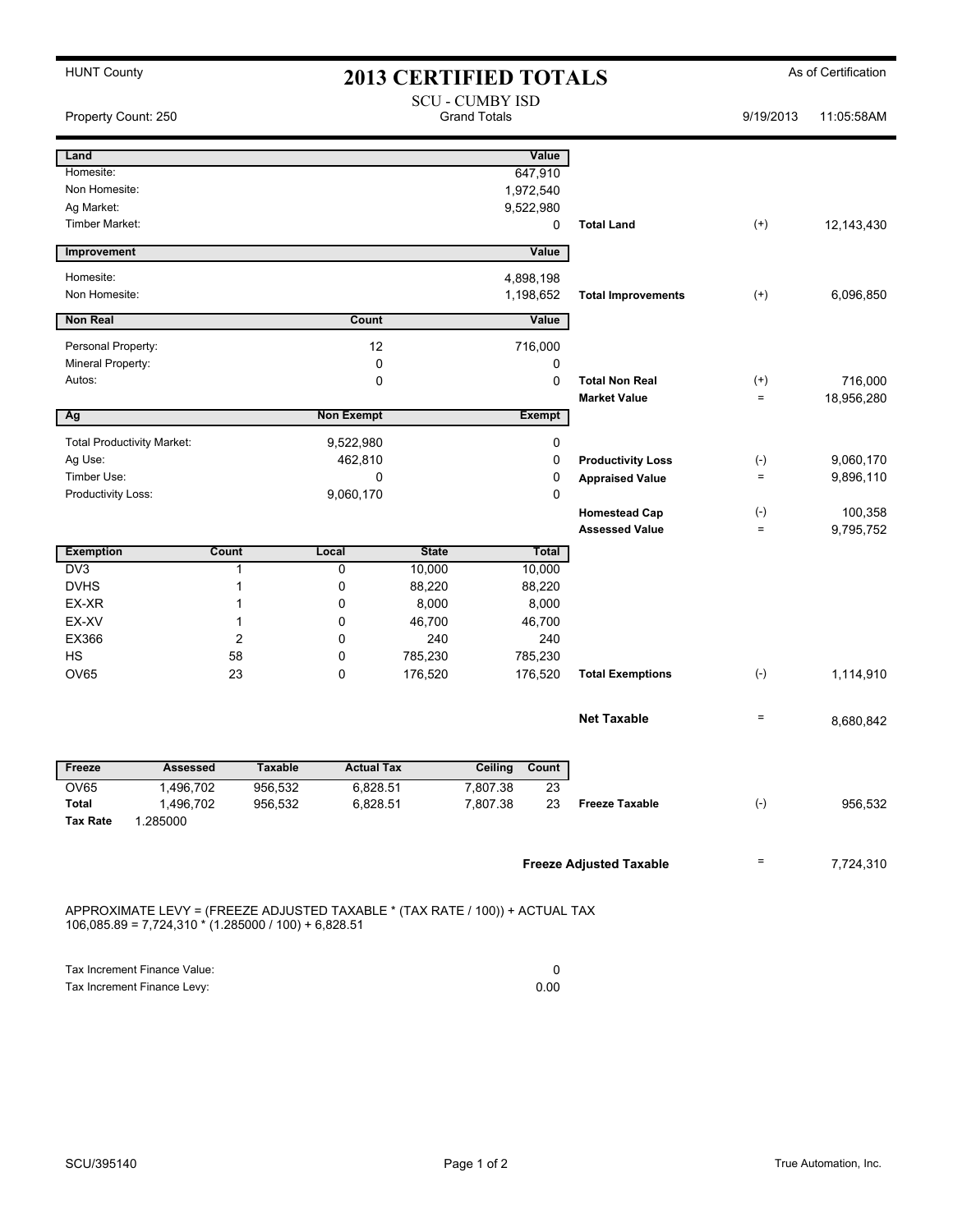| <b>HUNT County</b><br><b>2013 CERTIFIED TOTALS</b>                                                                                     |                              |                    |                               |                 |                     | As of Certification |                                |                   |            |  |
|----------------------------------------------------------------------------------------------------------------------------------------|------------------------------|--------------------|-------------------------------|-----------------|---------------------|---------------------|--------------------------------|-------------------|------------|--|
| <b>SCU - CUMBY ISD</b><br><b>Grand Totals</b><br>Property Count: 250                                                                   |                              |                    |                               |                 | 9/19/2013           | 11:05:58AM          |                                |                   |            |  |
| Land                                                                                                                                   |                              |                    |                               |                 |                     | Value               |                                |                   |            |  |
| Homesite:                                                                                                                              |                              |                    |                               |                 |                     | 647,910             |                                |                   |            |  |
| Non Homesite:                                                                                                                          |                              |                    |                               |                 |                     | 1,972,540           |                                |                   |            |  |
| Ag Market:                                                                                                                             |                              |                    |                               |                 |                     | 9,522,980           |                                |                   |            |  |
| Timber Market:                                                                                                                         |                              |                    |                               |                 |                     | 0                   | <b>Total Land</b>              | $^{(+)}$          | 12,143,430 |  |
| Improvement                                                                                                                            |                              |                    |                               |                 |                     | Value               |                                |                   |            |  |
| Homesite:                                                                                                                              |                              |                    |                               |                 |                     | 4,898,198           |                                |                   |            |  |
| Non Homesite:                                                                                                                          |                              |                    |                               |                 |                     | 1,198,652           | <b>Total Improvements</b>      | $^{(+)}$          | 6,096,850  |  |
| <b>Non Real</b>                                                                                                                        |                              |                    | Count                         |                 |                     | Value               |                                |                   |            |  |
| Personal Property:                                                                                                                     |                              |                    | 12                            |                 |                     | 716,000             |                                |                   |            |  |
| Mineral Property:                                                                                                                      |                              |                    | 0                             |                 |                     | 0                   |                                |                   |            |  |
| Autos:                                                                                                                                 |                              |                    | 0                             |                 |                     | $\mathbf 0$         | <b>Total Non Real</b>          | $^{(+)}$          | 716,000    |  |
|                                                                                                                                        |                              |                    |                               |                 |                     |                     | <b>Market Value</b>            | $\equiv$          | 18,956,280 |  |
| I<br>Ag                                                                                                                                |                              |                    | <b>Non Exempt</b>             |                 |                     | Exempt              |                                |                   |            |  |
| <b>Total Productivity Market:</b>                                                                                                      |                              |                    | 9,522,980                     |                 |                     | 0                   |                                |                   |            |  |
| Ag Use:                                                                                                                                |                              |                    | 462,810                       |                 |                     | 0                   | <b>Productivity Loss</b>       | $(\text{-})$      | 9,060,170  |  |
| Timber Use:                                                                                                                            |                              |                    | 0                             |                 |                     | 0                   | <b>Appraised Value</b>         | $=$               | 9,896,110  |  |
| Productivity Loss:                                                                                                                     |                              |                    | 9,060,170                     |                 |                     | 0                   |                                |                   |            |  |
|                                                                                                                                        |                              |                    |                               |                 |                     |                     | <b>Homestead Cap</b>           | $(\text{-})$      | 100,358    |  |
|                                                                                                                                        |                              |                    |                               |                 |                     |                     | <b>Assessed Value</b>          | $\qquad \qquad =$ | 9,795,752  |  |
| <b>Exemption</b>                                                                                                                       | Count                        |                    | Local                         | <b>State</b>    |                     | Total               |                                |                   |            |  |
| D <sub>V</sub> 3                                                                                                                       |                              | $\mathbf{1}$       | 0                             | 10,000          |                     | 10,000              |                                |                   |            |  |
| <b>DVHS</b>                                                                                                                            |                              | 1                  | 0                             | 88,220          |                     | 88,220              |                                |                   |            |  |
| EX-XR<br>EX-XV                                                                                                                         |                              | 1<br>1             | 0<br>0                        | 8,000<br>46,700 |                     | 8,000<br>46,700     |                                |                   |            |  |
| EX366                                                                                                                                  |                              | $\overline{c}$     | 0                             | 240             |                     | 240                 |                                |                   |            |  |
| <b>HS</b>                                                                                                                              |                              | 58                 | 0                             | 785,230         |                     | 785,230             |                                |                   |            |  |
| <b>OV65</b>                                                                                                                            |                              | 23                 | 0                             | 176,520         |                     | 176,520             | <b>Total Exemptions</b>        | $(-)$             | 1,114,910  |  |
|                                                                                                                                        |                              |                    |                               |                 |                     |                     |                                |                   |            |  |
|                                                                                                                                        |                              |                    |                               |                 |                     |                     | <b>Net Taxable</b>             | $\quad \  \  =$   | 8,680,842  |  |
|                                                                                                                                        |                              |                    |                               |                 |                     |                     |                                |                   |            |  |
| Freeze<br>OV65                                                                                                                         | <b>Assessed</b><br>1,496,702 | <b>Taxable</b>     | <b>Actual Tax</b><br>6,828.51 |                 | Ceiling<br>7,807.38 | Count<br>23         |                                |                   |            |  |
| Total                                                                                                                                  | 1,496,702                    | 956,532<br>956,532 | 6,828.51                      |                 | 7,807.38            | 23                  | <b>Freeze Taxable</b>          | $(-)$             | 956,532    |  |
| <b>Tax Rate</b>                                                                                                                        | 1.285000                     |                    |                               |                 |                     |                     |                                |                   |            |  |
|                                                                                                                                        |                              |                    |                               |                 |                     |                     |                                |                   |            |  |
|                                                                                                                                        |                              |                    |                               |                 |                     |                     | <b>Freeze Adjusted Taxable</b> | Ξ                 | 7,724,310  |  |
| APPROXIMATE LEVY = (FREEZE ADJUSTED TAXABLE * (TAX RATE / 100)) + ACTUAL TAX<br>$106,085.89 = 7,724,310 * (1.285000 / 100) + 6,828.51$ |                              |                    |                               |                 |                     |                     |                                |                   |            |  |
|                                                                                                                                        |                              |                    |                               |                 |                     |                     |                                |                   |            |  |
| Tax Increment Finance Value:<br>Tax Increment Finance Levy:                                                                            |                              |                    |                               |                 | 0<br>0.00           |                     |                                |                   |            |  |